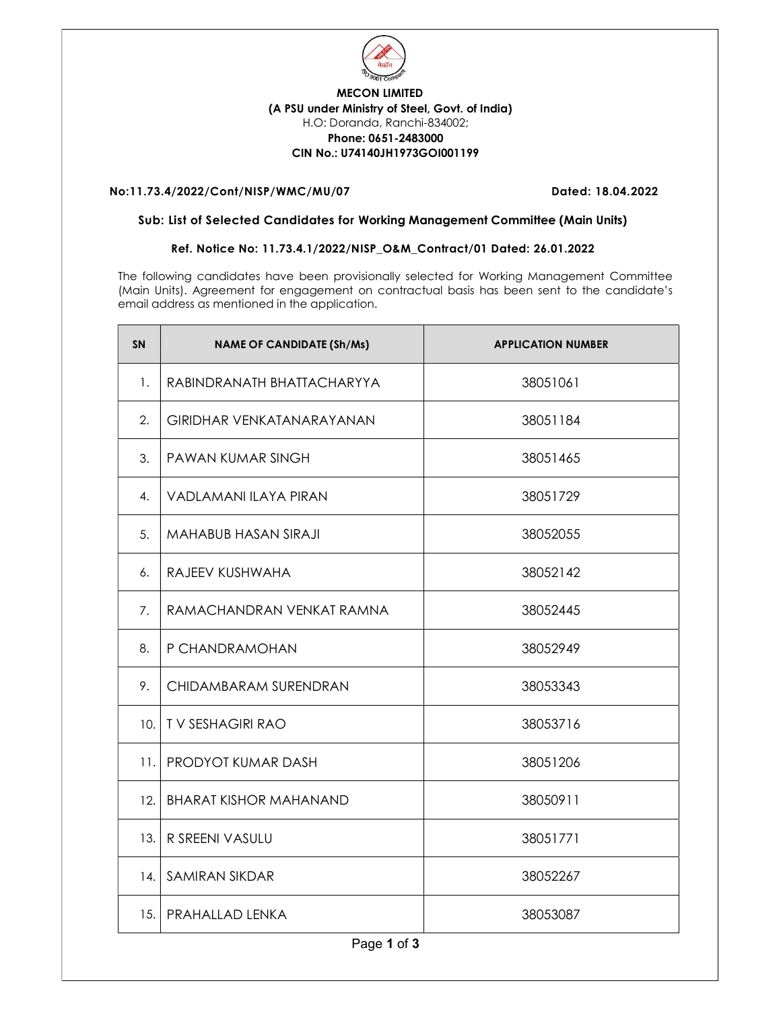

## MECON LIMITED (A PSU under Ministry of Steel, Govt. of India) H.O: Doranda, Ranchi-834002; Phone: 0651-2483000 CIN No.: U74140JH1973GOI001199

## No:11.73.4/2022/Cont/NISP/WMC/MU/07 Dated: 18.04.2022

## Sub: List of Selected Candidates for Working Management Committee (Main Units)

## Ref. Notice No: 11.73.4.1/2022/NISP\_O&M\_Contract/01 Dated: 26.01.2022

The following candidates have been provisionally selected for Working Management Committee (Main Units). Agreement for engagement on contractual basis has been sent to the candidate's email address as mentioned in the application.

| <b>SN</b>   | <b>NAME OF CANDIDATE (Sh/Ms)</b> | <b>APPLICATION NUMBER</b> |  |  |
|-------------|----------------------------------|---------------------------|--|--|
| 1.          | RABINDRANATH BHATTACHARYYA       | 38051061                  |  |  |
| 2.          | GIRIDHAR VENKATANARAYANAN        | 38051184                  |  |  |
| 3.          | PAWAN KUMAR SINGH                | 38051465                  |  |  |
| 4.          | <b>VADLAMANI ILAYA PIRAN</b>     | 38051729                  |  |  |
| 5.          | MAHABUB HASAN SIRAJI             | 38052055                  |  |  |
| 6.          | RAJEEV KUSHWAHA                  | 38052142                  |  |  |
| 7.          | RAMACHANDRAN VENKAT RAMNA        | 38052445                  |  |  |
| 8.          | P CHANDRAMOHAN                   | 38052949                  |  |  |
| 9.          | CHIDAMBARAM SURENDRAN            | 38053343                  |  |  |
| 10.         | <b>TV SESHAGIRI RAO</b>          | 38053716                  |  |  |
| 11.         | PRODYOT KUMAR DASH               | 38051206                  |  |  |
| 12.         | <b>BHARAT KISHOR MAHANAND</b>    | 38050911                  |  |  |
| 13.         | R SREENI VASULU                  | 38051771                  |  |  |
| 14.         | <b>SAMIRAN SIKDAR</b>            | 38052267                  |  |  |
| 15.         | PRAHALLAD LENKA                  | 38053087                  |  |  |
| Page 1 of 3 |                                  |                           |  |  |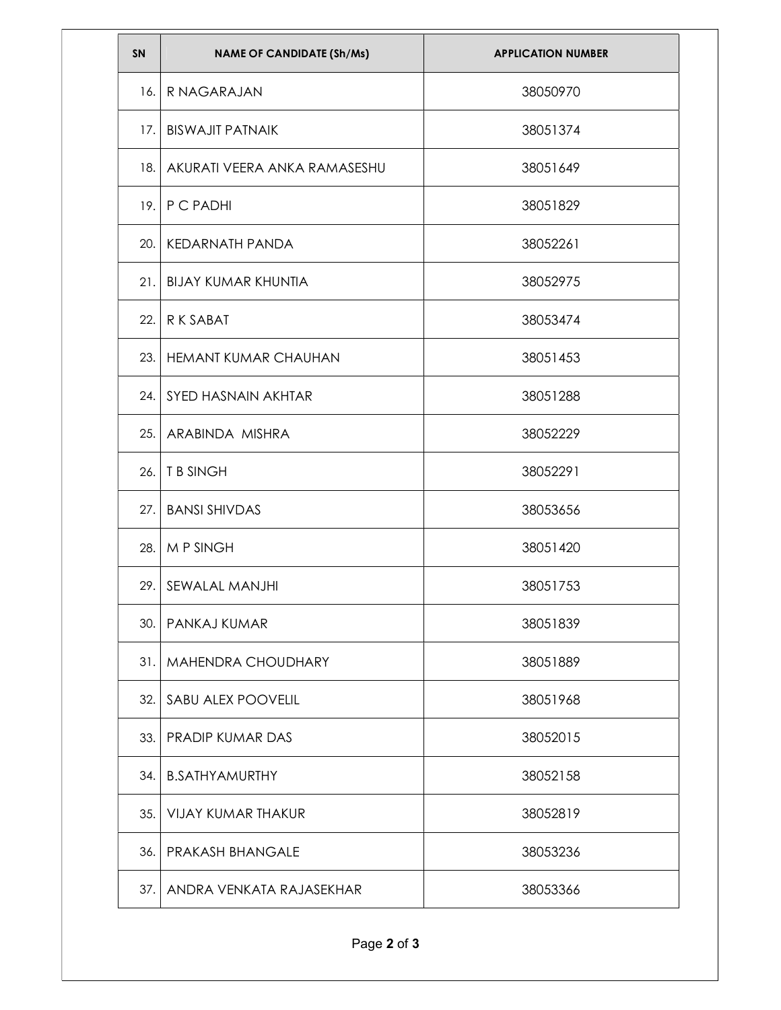| SN  | <b>NAME OF CANDIDATE (Sh/Ms)</b> | <b>APPLICATION NUMBER</b> |
|-----|----------------------------------|---------------------------|
| 16. | R NAGARAJAN                      | 38050970                  |
| 17. | <b>BISWAJIT PATNAIK</b>          | 38051374                  |
| 18. | AKURATI VEERA ANKA RAMASESHU     | 38051649                  |
|     | 19. P C PADHI                    | 38051829                  |
| 20. | KEDARNATH PANDA                  | 38052261                  |
|     | 21. BIJAY KUMAR KHUNTIA          | 38052975                  |
| 22. | $R$ K SABAT                      | 38053474                  |
| 23. | <b>HEMANT KUMAR CHAUHAN</b>      | 38051453                  |
|     | 24. SYED HASNAIN AKHTAR          | 38051288                  |
| 25. | ARABINDA MISHRA                  | 38052229                  |
|     | $26.$ T B SINGH                  | 38052291                  |
| 27. | <b>BANSI SHIVDAS</b>             | 38053656                  |
|     | 28. M P SINGH                    | 38051420                  |
| 29. | SEWALAL MANJHI                   | 38051753                  |
|     | 30. PANKAJ KUMAR                 | 38051839                  |
|     | 31.   MAHENDRA CHOUDHARY         | 38051889                  |
| 32. | SABU ALEX POOVELIL               | 38051968                  |
|     | 33. PRADIP KUMAR DAS             | 38052015                  |
|     | 34. B.SATHYAMURTHY               | 38052158                  |
|     | 35. VIJAY KUMAR THAKUR           | 38052819                  |
|     | 36. PRAKASH BHANGALE             | 38053236                  |
|     | 37. ANDRA VENKATA RAJASEKHAR     | 38053366                  |